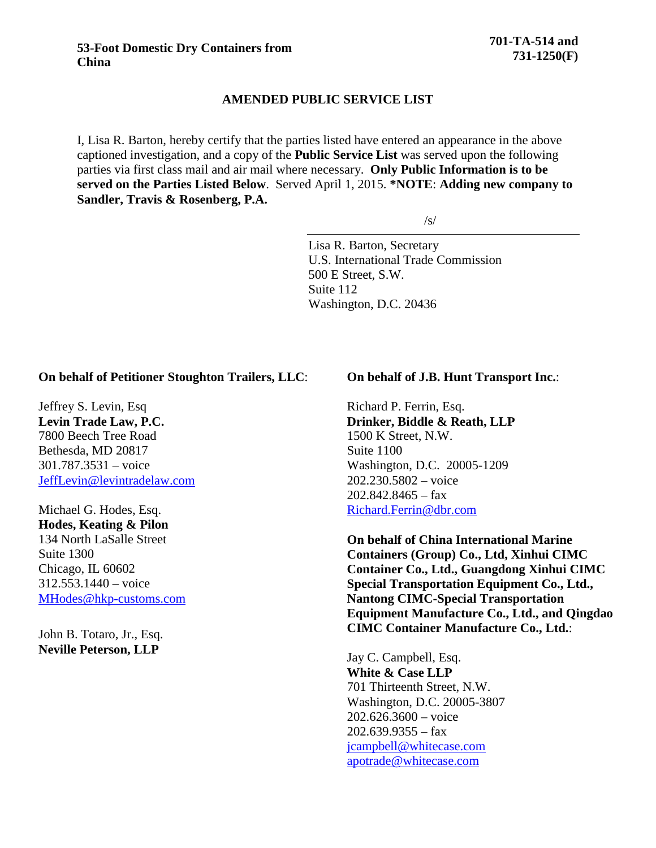### **53-Foot Domestic Dry Containers from China**

## **AMENDED PUBLIC SERVICE LIST**

I, Lisa R. Barton, hereby certify that the parties listed have entered an appearance in the above captioned investigation, and a copy of the **Public Service List** was served upon the following parties via first class mail and air mail where necessary. **Only Public Information is to be served on the Parties Listed Below**. Served April 1, 2015. **\*NOTE**: **Adding new company to Sandler, Travis & Rosenberg, P.A.**

 $\sqrt{s/}$ 

Lisa R. Barton, Secretary U.S. International Trade Commission 500 E Street, S.W. Suite 112 Washington, D.C. 20436

# **On behalf of Petitioner Stoughton Trailers, LLC**:

Jeffrey S. Levin, Esq **Levin Trade Law, P.C.** 7800 Beech Tree Road Bethesda, MD 20817 301.787.3531 – voice [JeffLevin@levintradelaw.com](mailto:JeffLevin@levintradelaw.com)

Michael G. Hodes, Esq. **Hodes, Keating & Pilon** 134 North LaSalle Street Suite 1300 Chicago, IL 60602 312.553.1440 – voice [MHodes@hkp-customs.com](mailto:MHodes@hkp-customs.com)

John B. Totaro, Jr., Esq. **Neville Peterson, LLP**

#### **On behalf of J.B. Hunt Transport Inc.**:

Richard P. Ferrin, Esq. **Drinker, Biddle & Reath, LLP** 1500 K Street, N.W. Suite 1100 Washington, D.C. 20005-1209 202.230.5802 – voice  $202.842.8465 - fax$ [Richard.Ferrin@dbr.com](mailto:Richard.Ferrin@dbr.com)

**On behalf of China International Marine Containers (Group) Co., Ltd, Xinhui CIMC Container Co., Ltd., Guangdong Xinhui CIMC Special Transportation Equipment Co., Ltd., Nantong CIMC-Special Transportation Equipment Manufacture Co., Ltd., and Qingdao CIMC Container Manufacture Co., Ltd.**:

Jay C. Campbell, Esq. **White & Case LLP** 701 Thirteenth Street, N.W. Washington, D.C. 20005-3807 202.626.3600 – voice  $202.639.9355 - fax$ [jcampbell@whitecase.com](mailto:jcampbell@whitecase.com) [apotrade@whitecase.com](mailto:apotrade@whitecase.com)